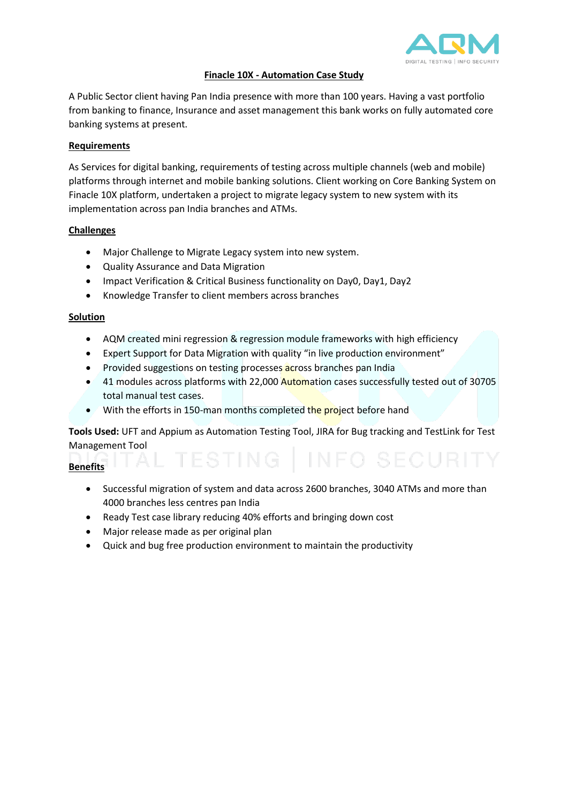

#### **Finacle 10X - Automation Case Study**

A Public Sector client having Pan India presence with more than 100 years. Having a vast portfolio from banking to finance, Insurance and asset management this bank works on fully automated core banking systems at present.

### **Requirements**

As Services for digital banking, requirements of testing across multiple channels (web and mobile) platforms through internet and mobile banking solutions. Client working on Core Banking System on Finacle 10X platform, undertaken a project to migrate legacy system to new system with its implementation across pan India branches and ATMs.

### **Challenges**

- Major Challenge to Migrate Legacy system into new system.
- Quality Assurance and Data Migration
- Impact Verification & Critical Business functionality on Day0, Day1, Day2
- Knowledge Transfer to client members across branches

### **Solution**

- AQM created mini regression & regression module frameworks with high efficiency
- Expert Support for Data Migration with quality "in live production environment"
- Provided suggestions on testing processes across branches pan India
- 41 modules across platforms with 22,000 Automation cases successfully tested out of 30705 total manual test cases.
- With the efforts in 150-man months completed the project before hand

**Tools Used:** UFT and Appium as Automation Testing Tool, JIRA for Bug tracking and TestLink for Test Management Tool

## **Benefits**

- Successful migration of system and data across 2600 branches, 3040 ATMs and more than 4000 branches less centres pan India
- Ready Test case library reducing 40% efforts and bringing down cost
- Major release made as per original plan
- Quick and bug free production environment to maintain the productivity